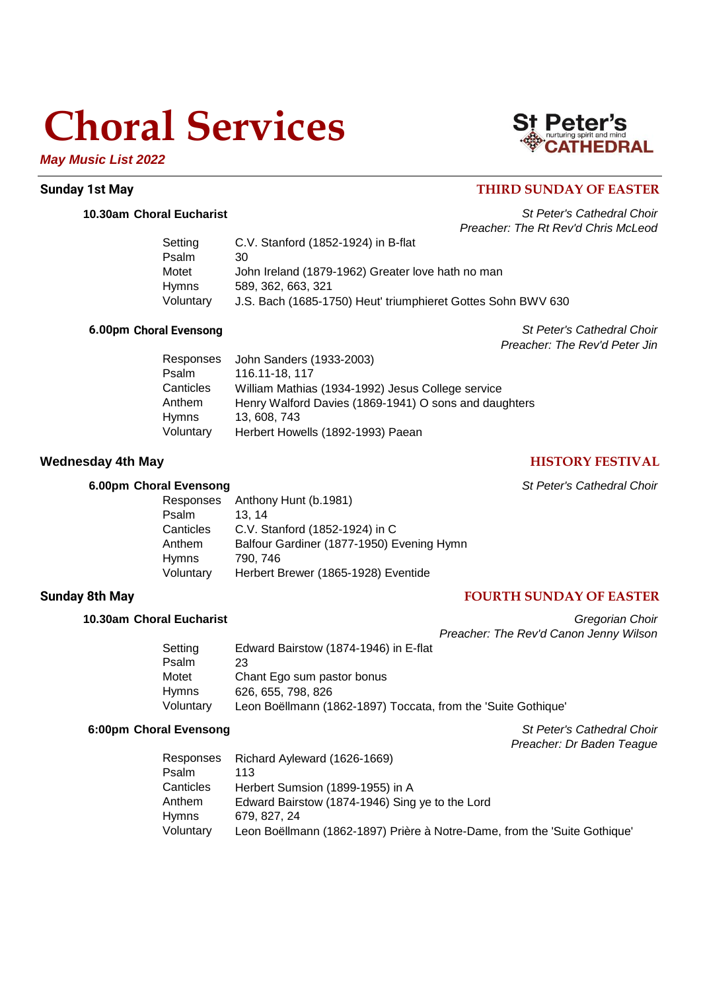# **Choral Services**

*May Music List 2022*

# St Peter's

## **Sunday 1st May Sunday 1st May THIRD SUNDAY OF EASTER**

**10.30am Choral Eucharist** *St Peter's Cathedral Choir Preacher: The Rt Rev'd Chris McLeod*

| C.V. Stanford (1852-1924) in B-flat                          |
|--------------------------------------------------------------|
| 30                                                           |
| John Ireland (1879-1962) Greater love hath no man            |
| 589, 362, 663, 321                                           |
| J.S. Bach (1685-1750) Heut' triumphieret Gottes Sohn BWV 630 |
|                                                              |

**6.00pm Choral Evensong** *St Peter's Cathedral Choir Preacher: The Rev'd Peter Jin*

| Responses | John Sanders (1933-2003)                              |
|-----------|-------------------------------------------------------|
| Psalm     | 116.11-18, 117                                        |
| Canticles | William Mathias (1934-1992) Jesus College service     |
| Anthem    | Henry Walford Davies (1869-1941) O sons and daughters |
| Hymns     | 13, 608, 743                                          |
| Voluntary | Herbert Howells (1892-1993) Paean                     |
|           |                                                       |

## **Wednesday 4th May HISTORY FESTIVAL**

## **6.00pm Choral Evensong** *St Peter's Cathedral Choir*

*Preacher: Dr Baden Teague*

| Responses | Anthony Hunt (b.1981)                     |
|-----------|-------------------------------------------|
| Psalm     | 13.14                                     |
| Canticles | C.V. Stanford (1852-1924) in C            |
| Anthem    | Balfour Gardiner (1877-1950) Evening Hymn |
| Hymns     | 790, 746                                  |
| Voluntary | Herbert Brewer (1865-1928) Eventide       |

## **Sunday 8th May FOURTH SUNDAY OF EASTER**

## **10.30am Choral Eucharist** *Gregorian Choir*

*Preacher: The Rev'd Canon Jenny Wilson* Setting Edward Bairstow (1874-1946) in E-flat Psalm 23 Motet Chant Ego sum pastor bonus Hymns 626, 655, 798, 826 Voluntary Leon Boëllmann (1862-1897) Toccata, from the 'Suite Gothique'

## **6:00pm Choral Evensong** *St Peter's Cathedral Choir*

|              | Responses Richard Ayleward (1626-1669)                                    |
|--------------|---------------------------------------------------------------------------|
| Psalm        | 113                                                                       |
| Canticles    | Herbert Sumsion (1899-1955) in A                                          |
| Anthem       | Edward Bairstow (1874-1946) Sing ye to the Lord                           |
| <b>Hymns</b> | 679, 827, 24                                                              |
| Voluntary    | Leon Boëllmann (1862-1897) Prière à Notre-Dame, from the 'Suite Gothique' |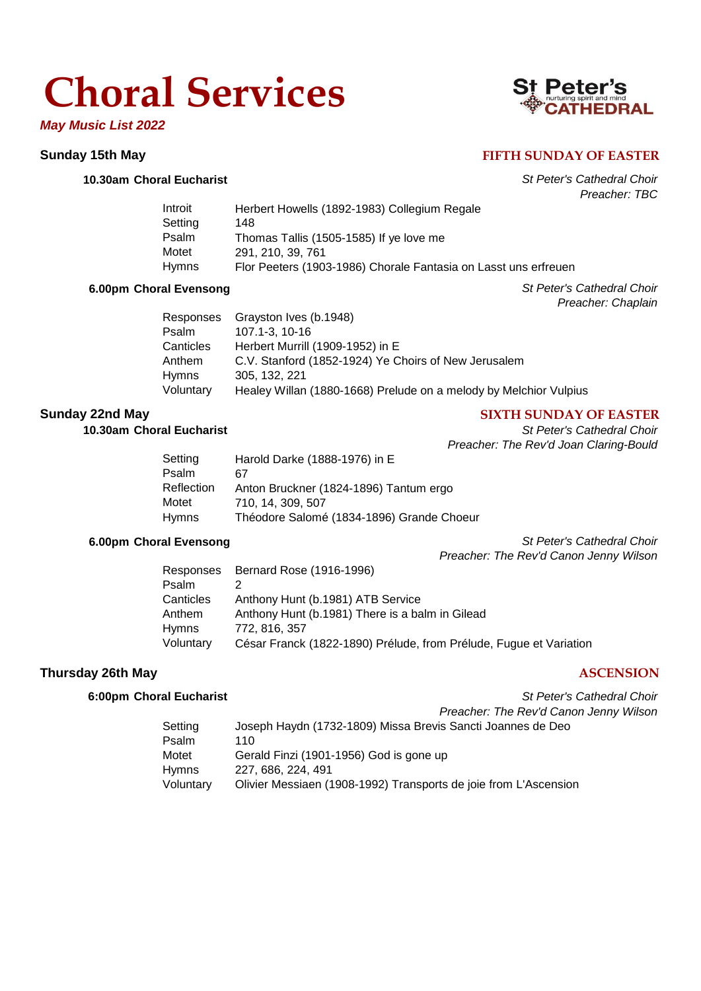# **Choral Services**

*May Music List 2022*

## **10.30am Choral Eucharist** *St Peter's Cathedral Choir*

| Peter                     |
|---------------------------|
| nurturing spirit and mind |
| <b>:АТНЕDRA</b>           |

## **Sunday 15th May FIFTH SUNDAY OF EASTER**

*Preacher: TBC*

| Introit      | Herbert Howells (1892-1983) Collegium Regale                    |
|--------------|-----------------------------------------------------------------|
| Setting      | 148                                                             |
| Psalm        | Thomas Tallis (1505-1585) If ye love me                         |
| Motet        | 291, 210, 39, 761                                               |
| <b>Hymns</b> | Flor Peeters (1903-1986) Chorale Fantasia on Lasst uns erfreuen |

## **6.00pm Choral Evensong** *St Peter's Cathedral Choir*

*Preacher: Chaplain*

| Responses | Grayston Ives (b.1948)                                            |
|-----------|-------------------------------------------------------------------|
| Psalm     | 107.1-3, 10-16                                                    |
| Canticles | Herbert Murrill (1909-1952) in E                                  |
| Anthem    | C.V. Stanford (1852-1924) Ye Choirs of New Jerusalem              |
| Hymns     | 305, 132, 221                                                     |
| Voluntary | Healey Willan (1880-1668) Prelude on a melody by Melchior Vulpius |

# **Sunday 22nd May SIXTH SUNDAY OF EASTER**

**10.30am Choral Eucharist** *St Peter's Cathedral Choir Preacher: The Rev'd Joan Claring-Bould*

| Setting    | Harold Darke (1888-1976) in E             |
|------------|-------------------------------------------|
| Psalm      | 67                                        |
| Reflection | Anton Bruckner (1824-1896) Tantum ergo    |
| Motet      | 710, 14, 309, 507                         |
| Hymns      | Théodore Salomé (1834-1896) Grande Choeur |

**6.00pm Choral Evensong** *St Peter's Cathedral Choir Preacher: The Rev'd Canon Jenny Wilson*

|           | Responses Bernard Rose (1916-1996)                                 |
|-----------|--------------------------------------------------------------------|
| Psalm     |                                                                    |
| Canticles | Anthony Hunt (b.1981) ATB Service                                  |
| Anthem    | Anthony Hunt (b.1981) There is a balm in Gilead                    |
| Hymns     | 772, 816, 357                                                      |
| Voluntary | César Franck (1822-1890) Prélude, from Prélude, Fugue et Variation |

## **Thursday 26th May ASCENSION**

## **6:00pm Choral Eucharist** *St Peter's Cathedral Choir*

|           | Preacher: The Rev'd Canon Jenny Wilson                           |
|-----------|------------------------------------------------------------------|
| Setting   | Joseph Haydn (1732-1809) Missa Brevis Sancti Joannes de Deo      |
| Psalm     | 110                                                              |
| Motet     | Gerald Finzi (1901-1956) God is gone up                          |
| Hymns     | 227, 686, 224, 491                                               |
| Voluntary | Olivier Messiaen (1908-1992) Transports de joie from L'Ascension |
|           |                                                                  |